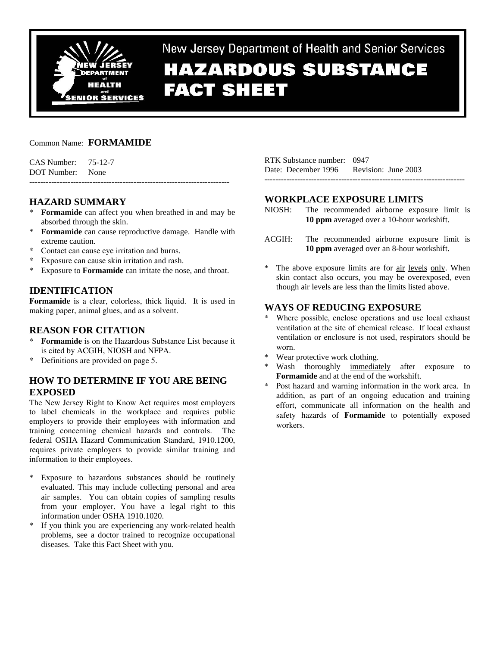

New Jersey Department of Health and Senior Services

# **HAZARDOUS SUBSTANCE FACT SHEET**

## Common Name: **FORMAMIDE**

| CAS Number: | 75-12-7 |
|-------------|---------|
| DOT Number: | None    |

# **HAZARD SUMMARY**

\* **Formamide** can affect you when breathed in and may be absorbed through the skin.

-------------------------------------------------------------------------

- \* **Formamide** can cause reproductive damage. Handle with extreme caution.
- \* Contact can cause eye irritation and burns.
- Exposure can cause skin irritation and rash.
- \* Exposure to **Formamide** can irritate the nose, and throat.

# **IDENTIFICATION**

**Formamide** is a clear, colorless, thick liquid. It is used in making paper, animal glues, and as a solvent.

## **REASON FOR CITATION**

- \* **Formamide** is on the Hazardous Substance List because it is cited by ACGIH, NIOSH and NFPA.
- Definitions are provided on page 5.

# **HOW TO DETERMINE IF YOU ARE BEING EXPOSED**

The New Jersey Right to Know Act requires most employers to label chemicals in the workplace and requires public employers to provide their employees with information and training concerning chemical hazards and controls. The federal OSHA Hazard Communication Standard, 1910.1200, requires private employers to provide similar training and information to their employees.

- \* Exposure to hazardous substances should be routinely evaluated. This may include collecting personal and area air samples. You can obtain copies of sampling results from your employer. You have a legal right to this information under OSHA 1910.1020.
- \* If you think you are experiencing any work-related health problems, see a doctor trained to recognize occupational diseases. Take this Fact Sheet with you.

RTK Substance number: 0947 Date: December 1996 Revision: June 2003 -------------------------------------------------------------------------

## **WORKPLACE EXPOSURE LIMITS**

- NIOSH: The recommended airborne exposure limit is **10 ppm** averaged over a 10-hour workshift.
- ACGIH: The recommended airborne exposure limit is **10 ppm** averaged over an 8-hour workshift.
- The above exposure limits are for air levels only. When skin contact also occurs, you may be overexposed, even though air levels are less than the limits listed above.

# **WAYS OF REDUCING EXPOSURE**

- Where possible, enclose operations and use local exhaust ventilation at the site of chemical release. If local exhaust ventilation or enclosure is not used, respirators should be worn.
- Wear protective work clothing.
- Wash thoroughly immediately after exposure to **Formamide** and at the end of the workshift.
- \* Post hazard and warning information in the work area. In addition, as part of an ongoing education and training effort, communicate all information on the health and safety hazards of **Formamide** to potentially exposed workers.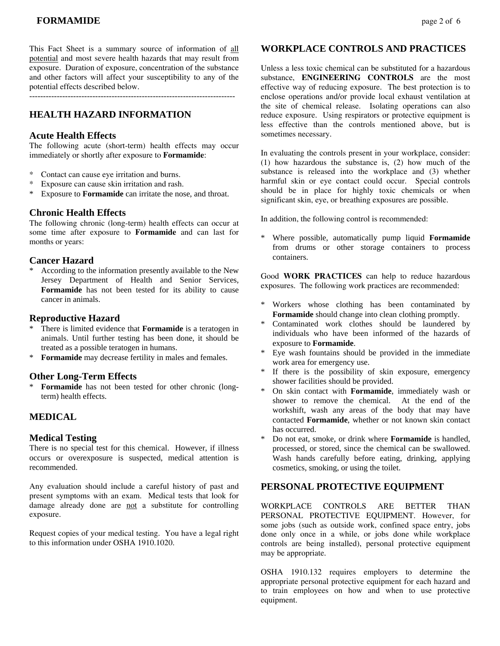This Fact Sheet is a summary source of information of all potential and most severe health hazards that may result from exposure. Duration of exposure, concentration of the substance and other factors will affect your susceptibility to any of the potential effects described below.

---------------------------------------------------------------------------

# **HEALTH HAZARD INFORMATION**

#### **Acute Health Effects**

The following acute (short-term) health effects may occur immediately or shortly after exposure to **Formamide**:

- \* Contact can cause eye irritation and burns.
- \* Exposure can cause skin irritation and rash.<br>\* Exposure to **Formanide** can irritate the nos
- Exposure to **Formamide** can irritate the nose, and throat.

#### **Chronic Health Effects**

The following chronic (long-term) health effects can occur at some time after exposure to **Formamide** and can last for months or years:

#### **Cancer Hazard**

\* According to the information presently available to the New Jersey Department of Health and Senior Services, **Formamide** has not been tested for its ability to cause cancer in animals.

#### **Reproductive Hazard**

- There is limited evidence that **Formamide** is a teratogen in animals. Until further testing has been done, it should be treated as a possible teratogen in humans.
- \* **Formamide** may decrease fertility in males and females.

#### **Other Long-Term Effects**

Formamide has not been tested for other chronic (longterm) health effects.

## **MEDICAL**

#### **Medical Testing**

There is no special test for this chemical. However, if illness occurs or overexposure is suspected, medical attention is recommended.

Any evaluation should include a careful history of past and present symptoms with an exam. Medical tests that look for damage already done are not a substitute for controlling exposure.

Request copies of your medical testing. You have a legal right to this information under OSHA 1910.1020.

#### **WORKPLACE CONTROLS AND PRACTICES**

Unless a less toxic chemical can be substituted for a hazardous substance, **ENGINEERING CONTROLS** are the most effective way of reducing exposure. The best protection is to enclose operations and/or provide local exhaust ventilation at the site of chemical release. Isolating operations can also reduce exposure. Using respirators or protective equipment is less effective than the controls mentioned above, but is sometimes necessary.

In evaluating the controls present in your workplace, consider: (1) how hazardous the substance is, (2) how much of the substance is released into the workplace and (3) whether harmful skin or eye contact could occur. Special controls should be in place for highly toxic chemicals or when significant skin, eye, or breathing exposures are possible.

In addition, the following control is recommended:

\* Where possible, automatically pump liquid **Formamide** from drums or other storage containers to process containers.

Good **WORK PRACTICES** can help to reduce hazardous exposures. The following work practices are recommended:

- \* Workers whose clothing has been contaminated by **Formamide** should change into clean clothing promptly.
- Contaminated work clothes should be laundered by individuals who have been informed of the hazards of exposure to **Formamide**.
- Eye wash fountains should be provided in the immediate work area for emergency use.
- If there is the possibility of skin exposure, emergency shower facilities should be provided.
- \* On skin contact with **Formamide**, immediately wash or shower to remove the chemical. At the end of the workshift, wash any areas of the body that may have contacted **Formamide**, whether or not known skin contact has occurred.
- Do not eat, smoke, or drink where **Formamide** is handled, processed, or stored, since the chemical can be swallowed. Wash hands carefully before eating, drinking, applying cosmetics, smoking, or using the toilet.

## **PERSONAL PROTECTIVE EQUIPMENT**

WORKPLACE CONTROLS ARE BETTER THAN PERSONAL PROTECTIVE EQUIPMENT. However, for some jobs (such as outside work, confined space entry, jobs done only once in a while, or jobs done while workplace controls are being installed), personal protective equipment may be appropriate.

OSHA 1910.132 requires employers to determine the appropriate personal protective equipment for each hazard and to train employees on how and when to use protective equipment.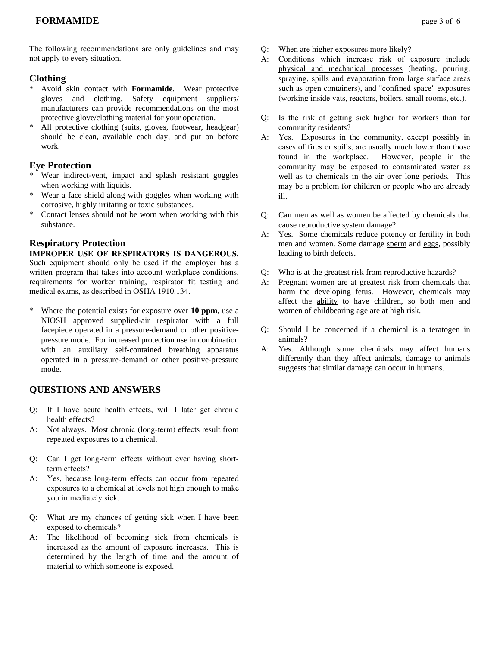# **Clothing**

- \* Avoid skin contact with **Formamide**. Wear protective gloves and clothing. Safety equipment suppliers/ manufacturers can provide recommendations on the most protective glove/clothing material for your operation.
- All protective clothing (suits, gloves, footwear, headgear) should be clean, available each day, and put on before work.

# **Eye Protection**

- \* Wear indirect-vent, impact and splash resistant goggles when working with liquids.
- \* Wear a face shield along with goggles when working with corrosive, highly irritating or toxic substances.
- Contact lenses should not be worn when working with this substance.

# **Respiratory Protection**

# **IMPROPER USE OF RESPIRATORS IS DANGEROUS.** Such equipment should only be used if the employer has a written program that takes into account workplace conditions,

requirements for worker training, respirator fit testing and medical exams, as described in OSHA 1910.134.

\* Where the potential exists for exposure over **10 ppm**, use a NIOSH approved supplied-air respirator with a full facepiece operated in a pressure-demand or other positivepressure mode. For increased protection use in combination with an auxiliary self-contained breathing apparatus operated in a pressure-demand or other positive-pressure mode.

# **QUESTIONS AND ANSWERS**

- Q: If I have acute health effects, will I later get chronic health effects?
- A: Not always. Most chronic (long-term) effects result from repeated exposures to a chemical.
- Q: Can I get long-term effects without ever having shortterm effects?
- A: Yes, because long-term effects can occur from repeated exposures to a chemical at levels not high enough to make you immediately sick.
- Q: What are my chances of getting sick when I have been exposed to chemicals?
- A: The likelihood of becoming sick from chemicals is increased as the amount of exposure increases. This is determined by the length of time and the amount of material to which someone is exposed.
- Q: When are higher exposures more likely?
- A: Conditions which increase risk of exposure include physical and mechanical processes (heating, pouring, spraying, spills and evaporation from large surface areas such as open containers), and "confined space" exposures (working inside vats, reactors, boilers, small rooms, etc.).
- Q: Is the risk of getting sick higher for workers than for community residents?
- A: Yes. Exposures in the community, except possibly in cases of fires or spills, are usually much lower than those found in the workplace. However, people in the community may be exposed to contaminated water as well as to chemicals in the air over long periods. This may be a problem for children or people who are already ill.
- Q: Can men as well as women be affected by chemicals that cause reproductive system damage?
- A: Yes. Some chemicals reduce potency or fertility in both men and women. Some damage sperm and eggs, possibly leading to birth defects.
- Q: Who is at the greatest risk from reproductive hazards?
- A: Pregnant women are at greatest risk from chemicals that harm the developing fetus. However, chemicals may affect the ability to have children, so both men and women of childbearing age are at high risk.
- Q: Should I be concerned if a chemical is a teratogen in animals?
- A: Yes. Although some chemicals may affect humans differently than they affect animals, damage to animals suggests that similar damage can occur in humans.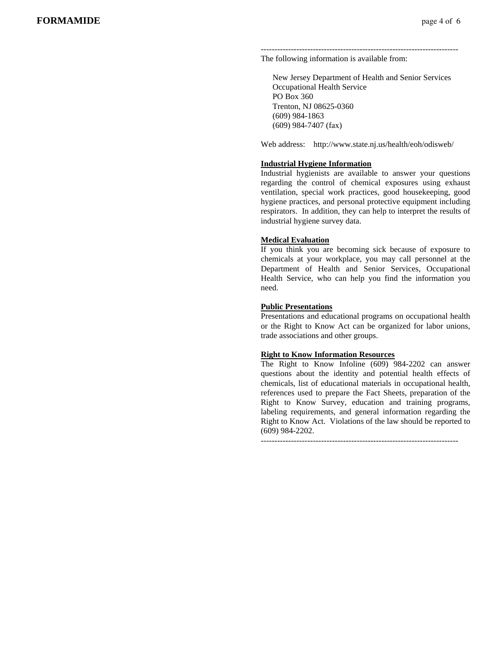------------------------------------------------------------------------ The following information is available from:

 New Jersey Department of Health and Senior Services Occupational Health Service PO Box 360 Trenton, NJ 08625-0360 (609) 984-1863 (609) 984-7407 (fax)

Web address: http://www.state.nj.us/health/eoh/odisweb/

#### **Industrial Hygiene Information**

Industrial hygienists are available to answer your questions regarding the control of chemical exposures using exhaust ventilation, special work practices, good housekeeping, good hygiene practices, and personal protective equipment including respirators. In addition, they can help to interpret the results of industrial hygiene survey data.

#### **Medical Evaluation**

If you think you are becoming sick because of exposure to chemicals at your workplace, you may call personnel at the Department of Health and Senior Services, Occupational Health Service, who can help you find the information you need.

#### **Public Presentations**

Presentations and educational programs on occupational health or the Right to Know Act can be organized for labor unions, trade associations and other groups.

#### **Right to Know Information Resources**

The Right to Know Infoline (609) 984-2202 can answer questions about the identity and potential health effects of chemicals, list of educational materials in occupational health, references used to prepare the Fact Sheets, preparation of the Right to Know Survey, education and training programs, labeling requirements, and general information regarding the Right to Know Act. Violations of the law should be reported to (609) 984-2202.

 $-$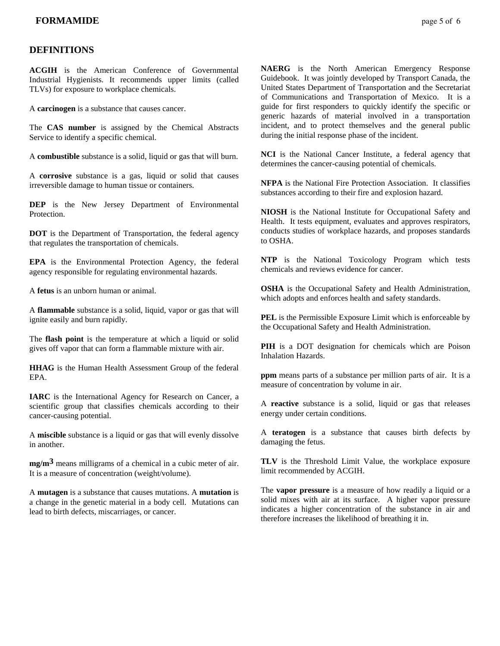## **DEFINITIONS**

**ACGIH** is the American Conference of Governmental Industrial Hygienists. It recommends upper limits (called TLVs) for exposure to workplace chemicals.

A **carcinogen** is a substance that causes cancer.

The **CAS number** is assigned by the Chemical Abstracts Service to identify a specific chemical.

A **combustible** substance is a solid, liquid or gas that will burn.

A **corrosive** substance is a gas, liquid or solid that causes irreversible damage to human tissue or containers.

**DEP** is the New Jersey Department of Environmental **Protection** 

**DOT** is the Department of Transportation, the federal agency that regulates the transportation of chemicals.

**EPA** is the Environmental Protection Agency, the federal agency responsible for regulating environmental hazards.

A **fetus** is an unborn human or animal.

A **flammable** substance is a solid, liquid, vapor or gas that will ignite easily and burn rapidly.

The **flash point** is the temperature at which a liquid or solid gives off vapor that can form a flammable mixture with air.

**HHAG** is the Human Health Assessment Group of the federal EPA.

**IARC** is the International Agency for Research on Cancer, a scientific group that classifies chemicals according to their cancer-causing potential.

A **miscible** substance is a liquid or gas that will evenly dissolve in another.

**mg/m3** means milligrams of a chemical in a cubic meter of air. It is a measure of concentration (weight/volume).

A **mutagen** is a substance that causes mutations. A **mutation** is a change in the genetic material in a body cell. Mutations can lead to birth defects, miscarriages, or cancer.

**NAERG** is the North American Emergency Response Guidebook. It was jointly developed by Transport Canada, the United States Department of Transportation and the Secretariat of Communications and Transportation of Mexico. It is a guide for first responders to quickly identify the specific or generic hazards of material involved in a transportation incident, and to protect themselves and the general public during the initial response phase of the incident.

**NCI** is the National Cancer Institute, a federal agency that determines the cancer-causing potential of chemicals.

**NFPA** is the National Fire Protection Association. It classifies substances according to their fire and explosion hazard.

**NIOSH** is the National Institute for Occupational Safety and Health. It tests equipment, evaluates and approves respirators, conducts studies of workplace hazards, and proposes standards to OSHA.

**NTP** is the National Toxicology Program which tests chemicals and reviews evidence for cancer.

**OSHA** is the Occupational Safety and Health Administration, which adopts and enforces health and safety standards.

**PEL** is the Permissible Exposure Limit which is enforceable by the Occupational Safety and Health Administration.

**PIH** is a DOT designation for chemicals which are Poison Inhalation Hazards.

**ppm** means parts of a substance per million parts of air. It is a measure of concentration by volume in air.

A **reactive** substance is a solid, liquid or gas that releases energy under certain conditions.

A **teratogen** is a substance that causes birth defects by damaging the fetus.

**TLV** is the Threshold Limit Value, the workplace exposure limit recommended by ACGIH.

The **vapor pressure** is a measure of how readily a liquid or a solid mixes with air at its surface. A higher vapor pressure indicates a higher concentration of the substance in air and therefore increases the likelihood of breathing it in.